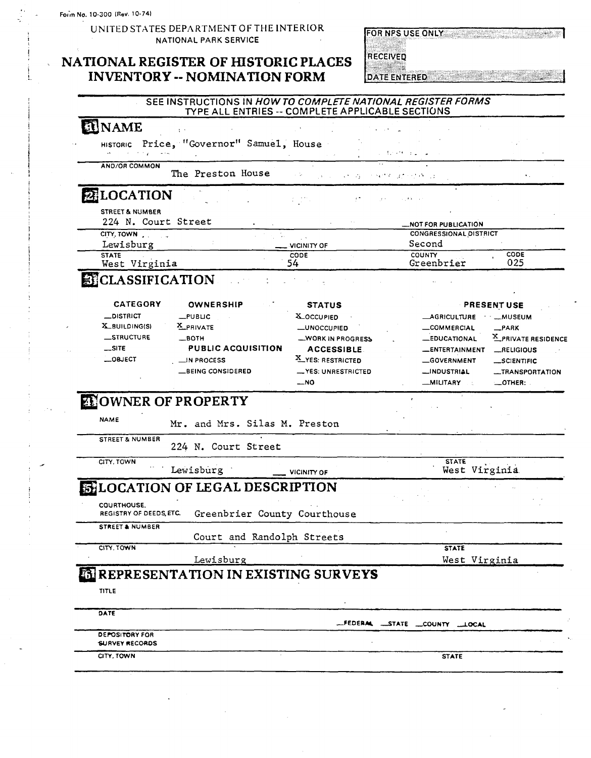UNITED STATES DEPARTMENT OF THE INTERIOR NATIONAL PARK **SERVICE** 

### **NATIONAL REGISTER OF HISTORIC PLACES INVENTORY -- NOMINATION FORM DATE ENTERED AND RESERVED BY A LIMIT OR YOUR ALL TO A LIMIT OF A LIMIT OF A LIMIT OF A LIMIT OF A LIMIT OF A LIMIT OF A LIMIT OF A LIMIT OF A LIMIT OF A LIMIT OF A LIMIT OF A LIMIT OF A LIMIT**

#### FOR NPS USE ONLY THE TABLE TO A REAL PROPERTY.

RECEIVED

### SEE INSTRUCTIONS IN **HOW TO COMPLETE NATIONAL REGISTER FORMS**  TYPE ALL ENTRIES -- COMPLETE APPLICABLE SECTIONS

### **EL** NAME

HISTORIC Price, "Governor" Samuel, House **International Price, 1999** 

## STREET & NUMBER

| and the contract of the contract of               | service in the control of the                  | and the state and completely                                  |
|---------------------------------------------------|------------------------------------------------|---------------------------------------------------------------|
| <b>AND/OR COMMON</b><br>The Preston House         |                                                | $\cdots$<br>The construction of the problem of<br>$\bullet$ . |
| 2 LOCATION                                        | $\sim 10^{11}$ and $\sim 10^{11}$ km s $^{-1}$ | complete the support of a problem                             |
| <b>STREET &amp; NUMBER</b><br>224 N. Court Street |                                                | $\sim$ $\sim$<br><b>LNOT FOR PUBLICATION</b>                  |
| CITY. TOWN.<br>Lewisburg                          | $\equiv$ vicinity of                           | <b>CONGRESSIONAL DISTRICT</b><br>Second                       |
| <b>STATE</b><br>West Virginia                     | CODE<br>54                                     | <b>CODE</b><br><b>COUNTY</b><br>025<br>Greenbrier             |

### **A**CLASSIFICATION

| <b>CATEGORY</b>   | <b>OWNERSHIP</b>          | <b>STATUS</b>      | <b>PRESENT USE</b>                    |
|-------------------|---------------------------|--------------------|---------------------------------------|
| $\equiv$ DISTRICT | $_{\text{L}}$ PUBLIC      | <b>X_OCCUPIED</b>  | <b>AGRICULTURE</b><br>· …MUSEUM       |
| X BUILDING(S)     | X PRIVATE                 | -UNOCCUPIED        | COMMERCIAL<br>$-$ PARK                |
| <b>STRUCTURE</b>  | $-$ BOTH                  | -WORK IN PROGRESS  | X_PRIVATE RESIDENCE<br>-EDUCATIONAL   |
| $\equiv$ SITE     | <b>PUBLIC ACQUISITION</b> | <b>ACCESSIBLE</b>  | <b>LENTERTAINMENT</b><br>$R$ ELIGIOUS |
| $\equiv$ OBJECT   | $\equiv$ IN PROCESS       | X_YES: RESTRICTED  | <b>GOVERNMENT</b><br>SCIENTIFIC       |
|                   | <b>EXEING CONSIDERED</b>  | -YES: UNRESTRICTED | __INDUSTRIAL<br>-TRANSPORTATION       |
|                   |                           | $-$ NO             | <b>MILITARY</b><br>$-$ OTHER:         |

# **ENOWNER OF PROPERTY**

| <b>NAME</b><br>Mr. and Mrs. Silas M. Preston |  |
|----------------------------------------------|--|
|----------------------------------------------|--|

| rown |  |  | í, |
|------|--|--|----|
|      |  |  |    |

| <b>STREET &amp; NUMBER</b> | 224 N. Court Street                    |                               |
|----------------------------|----------------------------------------|-------------------------------|
| CITY, TOWN                 | Lewisburg<br><b>VICINITY OF</b>        | <b>STATE</b><br>West Virginia |
|                            | <b>ENLOCATION OF LEGAL DESCRIPTION</b> |                               |

# **DELOCAT**

COURTHOUSE.<br>REGISTRY OF DEEDS, ETC. Greenbrier County Courthouse

STREET& NUMBER

Court and Randolph Streets

#### CITY, TOWN STATE AND RESERVE THE STATE OF THE STATE AND STATE AND STATE OF THE STATE OF THE STATE OF THE STATE Lewisburg **n** *Nest Virginia*

## **a REPRESENTATION IN EXISTING SURVEYS**

#### TITLE

DATE -FEDERly STATE **-COUNTY IOCAL**  DErOSIFORY FOR SURVEY RECORDS CITY, TOWN **STATE**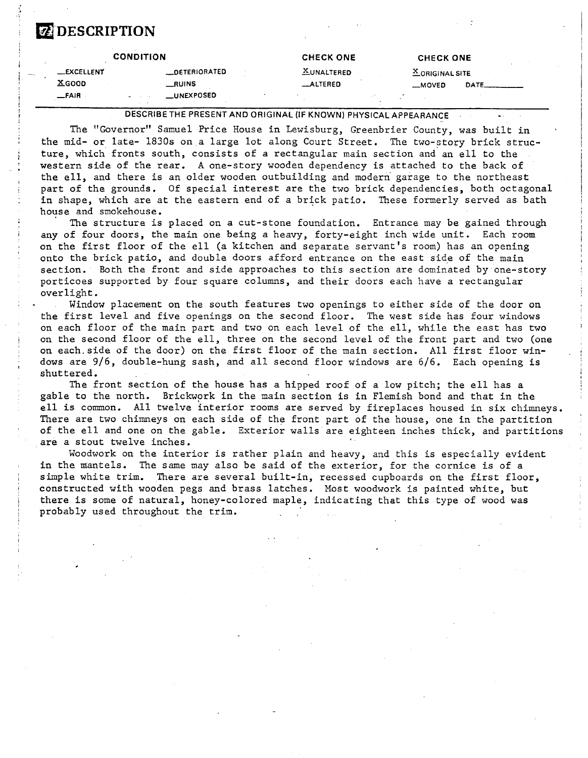# **EZ DESCRIPTION**

|                    | <b>CONDITION</b> |                   |  | <b>CHECK ONE</b> |  | CHECK ONE         |       |  |
|--------------------|------------------|-------------------|--|------------------|--|-------------------|-------|--|
| <b>__EXCELLENT</b> |                  | __DETERIORATED    |  | $X$ UNALTERED    |  | $X$ ORIGINAL SITE |       |  |
| $X$ GOOD           |                  | __RUINS           |  | <b>_ALTERED</b>  |  | $M$ OVED          | DATE. |  |
| $-FAIR$            | <b>March 200</b> | <b>LUNEXPOSED</b> |  |                  |  |                   |       |  |

**DESCRIBETHE PRESENT AND ORIGINAL (IF KNOWN) PHYSICAL APPEARANCE** .

The "Governor" Samuel Price House in Lewisburg, Greenbrier County, was built in the mid- or late- 1830s on a large lot along Court Street. The two-story brick structure, which fronts south, consists of a rectangular main section and an ell to the western side of the rear. A one-story wooden dependency is attached to the back of the ell, and there is an older wooden outbuilding and modern garage to the northeast part of the grounds. Of special interest are the two brick dependencies, both octagonal in shape, which are at the eastern end of a brick patio. These formerly served as bath house and smokehouse.

The structure is placed on a cut-stone foundation. Entrance may be gained through any of four doors, the main one being a heavy, forty-eight inch wide unit. Each room on the first floor of the ell (a kitchen and separate servant's room) has an opening onto the brick patio, and double doors afford entrance on the east side of the main section. Both the front and side approaches to this section are dominated by one-story porticoes supported by four square columns, and their doors each have a rectangular overlight.

Window placement on the south features two openings to either side of the door on the first level and five openings on the second floor. The west side has four windows on each floor of the main part and two on each level of the ell, while the east has two on the second floor of the ell, three on the second level of the front part and two (one on each.side of the door) on the first floor of the main section. All first floor windows are 9/6, double-hung sash, and all second floor windows are 6/6. Each opening is shuttered.

The front section of the house has a hipped roof of a low pitch; the ell has a gable to the north. Brickwork in the main section is in Flemish bond and that in the ell is common. All twelve interior rooms are served by fireplaces housed in six chimneys. There are two chimneys on each side of the front part of the house, one in the partition of the ell and one on the gable. Exterior walls are eighteen inches thick, and partitions are a stout twelve inches.

Woodwork on the interior is rather plain and heavy, and this is especially evident in the mantels. The same may also be said of the exterior, for the cornice is of a simple white trim. There are several built-in, recessed cupboards on the first floor, constructed with wooden pegs and brass latches. Most woodwork is painted white, but there is some of natural, honey-colored maple, indicating that this type of wood was probably used throughout the trim.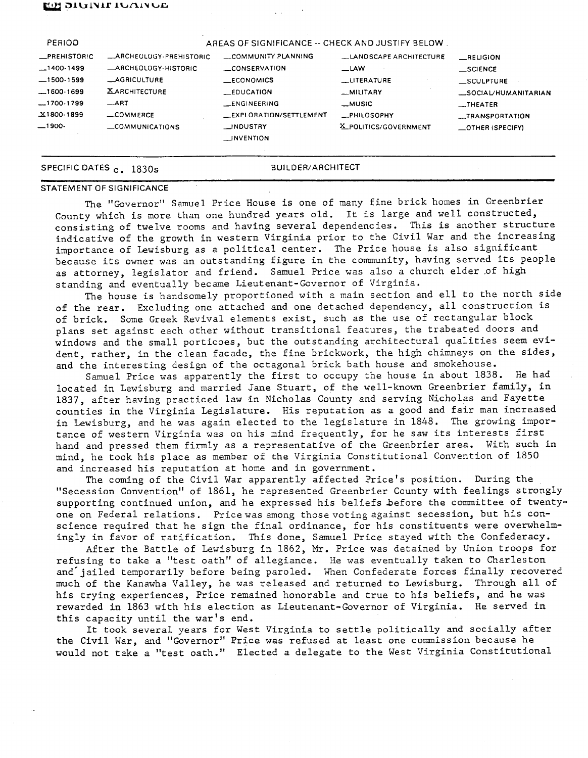#### **EGR OTATAIL TAUTANAE**

| <b>PERIOD</b>                                                                       |                                                                                                          | AREAS OF SIGNIFICANCE -- CHECK AND JUSTIFY BELOW.                                                |                                                                                    |                                                                                                      |
|-------------------------------------------------------------------------------------|----------------------------------------------------------------------------------------------------------|--------------------------------------------------------------------------------------------------|------------------------------------------------------------------------------------|------------------------------------------------------------------------------------------------------|
| <b>_PREHISTORIC</b><br>$-1400-1499$<br>$-1500-1599$<br>$-1600-1699$<br>$-1700-1799$ | _ARCHEOLOGY-PREHISTORIC<br>ARCHEOLOGY-HISTORIC<br><b>AGRICULTURE</b><br><b>XARCHITECTURE</b><br>$\_$ ART | COMMUNITY PLANNING<br>CONSERVATION<br>$\_ECONOMICS$<br>$\equiv$ EDUCATION<br><b>LENGINEERING</b> | LANDSCAPE ARCHITECTURE<br>$\equiv$ LAW<br>_UTERATURE<br>-MILITARY<br><b>_MUSIC</b> | RELIGION<br>$\equiv$ SCIENCE<br>SCULPTURE<br>SOCIAL/HUMANITARIAN<br>$\overline{\phantom{a}}$ THEATER |
| X1800-1899<br>$-1900-$                                                              | $\equiv$ COMMERCE<br>COMMUNICATIONS                                                                      | <b>EXPLORATION/SETTLEMENT</b><br><b>NOUSTRY</b><br><b>LINVENTION</b>                             | <b>_PHILOSOPHY</b><br>X_POLITICS/GOVERNMENT                                        | <b>__TRANSPORTATION</b><br>$\equiv$ OTHER (SPECIFY)                                                  |

### SPECIFIC DATES <sub>C</sub>. 1830s BUILDER/ARCHITECT

### STATEMENT OF SIGNIFICANCE

The "Governor" Samuel Price House is one of many fine brick homes in Greenbrier County which is more than one hundred years old. It is large and well constructed, consisting of twelve rooms and having several dependencies. This is another structure indicative of the growth in western Virginia prior to the Civil War and the increasing importance of Lewisburg as a political center. The Price house is also significant because its owner was an outstanding figure in the community, having served its people as attorney, legislator and friend. Samuel Price was also a church elder of high standing and eventually became Lieutenant-Governor of Virginia.

The house is handsomely proportioned with a main section and ell to the north side of the rear. Excluding one attached and one detached dependency, all construction is of brick. Some Greek Revival elements exist, such as the use of rectangular block plans set against each other without transitional features, the trabeated doors and windows and the small porticoes, but the outstanding architectural qualities seem evident, rather, in the clean facade, the fine brickwork, the high chimneys on the sides, and the interesting design of the octagonal brick bath house and smokehouse.

Samuel Price was apparently the first to occupy the house in about 1838. He had located in Lewisburg and married Jane Stuart, of the well-known Greenbrier family, In 1837, after having practiced law in Nicholas County and serving Nicholas and Fayette counties in the Virginia Legislature. His reputation as a good and fair man increased in Lewisburg, and he was again elected to the legislature in 1848. The growing importance of western Virginia was on his mind frequently, for he saw its interests first hand and pressed them firmly as a representative of the Greenbrier area. With such in mind, he took his place as member of the Virginia Constitutional Convention of 1850 and increased his reputation at home and in government.

The coming of the Civil War apparently affected Price's position. During the "Secession Convention'' of 1861, he represented Greenbrier County with feelings strongly supporting continued union, and he expressed his beliefs before the committee of twentyone on Federal relations. Pricewas among thosevotingagainst secession, but his conscience required that he sign the final ordinance, for his constituents were overwhelmingly in favor of ratification. This done, Samuel Price stayed with the Confederacy.

After the Battle of Lewisburg in 1862, Mr. Price was detained by Union troops for refusing to take a "test oath" of allegiance. He was eventually taken to Charleston and'jailed temporarily before being paroled. When Confederate forces finally recovered much of the Kanawha Valley, he was released and returned to Lewisburg. Through all of his trying experiences, Price remained honorable and true to his beliefs, and he was rewarded in 1863 with his election as Lieutenant-Governor of Virginia. He served in this capacity until the war's end.

It took several years for West Virginia to settle politically and socially after the Civil War, and "Governor" Price was refused at least one commission because he would not take a "test oath." Elected a delegate to the West Virginia Constitutional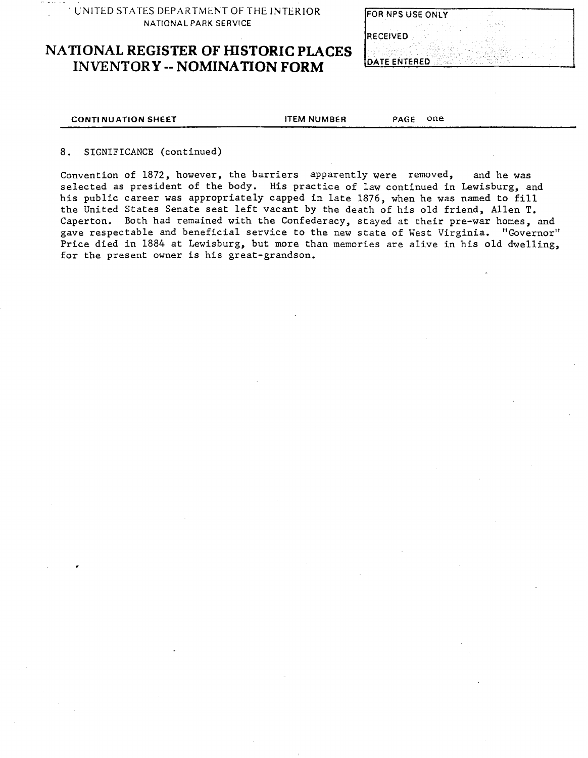- - **' UNITED STATES DEPARTMENT OF THE INTERIOR NATIONAL PARK SERVICE** 

# **NATIONAL REGISTER OF HISTORIC PLACES INVENTORY -- NOMINATION FORM**

| FOR NPS USE ONLY |  |  |
|------------------|--|--|
| <b>RECEIVED</b>  |  |  |
|                  |  |  |

#### **CONTI NU ATION SHEET ITEM NUMBER PAGE** one

### 8. SIGNIFICANCE (continued)

Convention of 1872, however, the barriers apparently were removed, and he was selected as president of the body. His practice of law continued in Lewisburg, and his public career was appropriately capped in late 1876, when he was named to fill the United States Senate seat left vacant by the death of his old friend, Allen T. Caperton. Both had remained with the Confederacy, stayed at their pre-war homes, and gave respectable and beneficial service to the new state of West Virginia. "Governor" Price died in 1884 at Lewisburg, but more than memories are alive in his old dwelling, for the present owner is his great-grandson.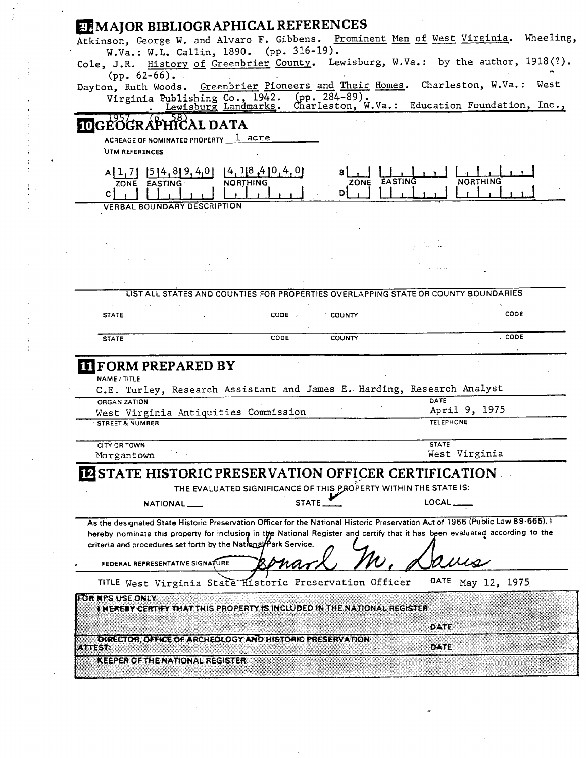|                            |                                                                 |                 |                                                                                                                                                                                                                                                                 | Atkinson, George W. and Alvaro F. Gibbens. Prominent Men of West Virginia. Wheeling, |        |
|----------------------------|-----------------------------------------------------------------|-----------------|-----------------------------------------------------------------------------------------------------------------------------------------------------------------------------------------------------------------------------------------------------------------|--------------------------------------------------------------------------------------|--------|
|                            | W.Va.: W.L. Callin, 1890. (pp. 316-19).                         |                 |                                                                                                                                                                                                                                                                 |                                                                                      |        |
| $(pp. 62-66)$ .            |                                                                 |                 | Cole, J.R. History of Greenbrier County. Lewisburg, W.Va.: by the author, 1918(?).                                                                                                                                                                              |                                                                                      |        |
|                            |                                                                 |                 | Dayton, Ruth Woods. Greenbrier Pioneers and Their Homes. Charleston, W.Va.: West                                                                                                                                                                                |                                                                                      |        |
|                            | Virginia Publishing Co., 1942. (pp. 284-89).                    |                 |                                                                                                                                                                                                                                                                 |                                                                                      |        |
|                            |                                                                 |                 | Lewisburg Landmarks. Charleston, W.Va.: Education Foundation, Inc.,                                                                                                                                                                                             |                                                                                      |        |
|                            | <b>IDGEOGRAPHICAL DATA</b>                                      |                 |                                                                                                                                                                                                                                                                 |                                                                                      |        |
|                            | ACREAGE OF NOMINATED PROPERTY 1 acre                            |                 |                                                                                                                                                                                                                                                                 |                                                                                      |        |
| UTM REFERENCES             |                                                                 |                 |                                                                                                                                                                                                                                                                 |                                                                                      |        |
|                            | $A[1,7]$   5   4, 8   9, 4, 0     4, 1   8, 4   0, 4, 0         |                 |                                                                                                                                                                                                                                                                 |                                                                                      |        |
| ZONE EASTING               |                                                                 | <b>NORTHING</b> | ZONE EASTING                                                                                                                                                                                                                                                    | <b>NORTHING</b>                                                                      |        |
| C I                        | <b>VERBAL BOUNDARY DESCRIPTION</b>                              |                 | DI                                                                                                                                                                                                                                                              |                                                                                      |        |
|                            |                                                                 |                 |                                                                                                                                                                                                                                                                 |                                                                                      |        |
|                            |                                                                 |                 |                                                                                                                                                                                                                                                                 |                                                                                      |        |
|                            |                                                                 |                 |                                                                                                                                                                                                                                                                 |                                                                                      |        |
|                            |                                                                 |                 |                                                                                                                                                                                                                                                                 |                                                                                      |        |
|                            |                                                                 |                 |                                                                                                                                                                                                                                                                 | in a casar in                                                                        |        |
|                            |                                                                 |                 |                                                                                                                                                                                                                                                                 |                                                                                      |        |
|                            |                                                                 |                 | LIST ALL STATES AND COUNTIES FOR PROPERTIES OVERLAPPING STATE OR COUNTY BOUNDARIES                                                                                                                                                                              |                                                                                      |        |
| <b>STATE</b>               |                                                                 | CODE .          | <b>COUNTY</b>                                                                                                                                                                                                                                                   |                                                                                      | CODE   |
|                            |                                                                 |                 |                                                                                                                                                                                                                                                                 |                                                                                      |        |
|                            |                                                                 |                 |                                                                                                                                                                                                                                                                 |                                                                                      |        |
| <b>STATE</b>               | <b>IT FORM PREPARED BY</b>                                      | CODE            | <b>COUNTY</b>                                                                                                                                                                                                                                                   |                                                                                      | . CODE |
| NAME / TITLE               |                                                                 |                 | C.E. Turley, Research Assistant and James E. Harding, Research Analyst                                                                                                                                                                                          |                                                                                      |        |
| <b>ORGANIZATION</b>        |                                                                 |                 |                                                                                                                                                                                                                                                                 | DATE                                                                                 |        |
|                            | West Virginia Antiquities Commission                            |                 |                                                                                                                                                                                                                                                                 | April 9, 1975<br><b>TELEPHONE</b>                                                    |        |
| <b>STREET &amp; NUMBER</b> |                                                                 |                 |                                                                                                                                                                                                                                                                 |                                                                                      |        |
| <b>CITY OR TOWN</b>        |                                                                 |                 |                                                                                                                                                                                                                                                                 | <b>STATE</b>                                                                         |        |
| Morgantown                 |                                                                 |                 |                                                                                                                                                                                                                                                                 | West Virginia                                                                        |        |
|                            |                                                                 |                 | <b>IZ STATE HISTORIC PRESERVATION OFFICER CERTIFICATION</b>                                                                                                                                                                                                     |                                                                                      |        |
|                            |                                                                 |                 | THE EVALUATED SIGNIFICANCE OF THIS PROPERTY WITHIN THE STATE IS:                                                                                                                                                                                                |                                                                                      |        |
|                            |                                                                 |                 |                                                                                                                                                                                                                                                                 |                                                                                      |        |
|                            | NATIONAL ___                                                    | STATE           |                                                                                                                                                                                                                                                                 | LOCAL $\rule{1em}{0.15mm}$                                                           |        |
|                            |                                                                 |                 | As the designated State Historic Preservation Officer for the National Historic Preservation Act of 1966 (Public Law 89-665). I<br>hereby nominate this property for inclusion in the National Register and certify that it has been evaluated according to the |                                                                                      |        |
|                            | criteria and procedures set forth by the National Park Service. |                 |                                                                                                                                                                                                                                                                 |                                                                                      |        |
|                            | FEDERAL REPRESENTATIVE SIGNATURE                                |                 |                                                                                                                                                                                                                                                                 |                                                                                      |        |
|                            |                                                                 |                 | TITLE West Virginia State Historic Preservation Officer                                                                                                                                                                                                         | DATE<br>May 12, 1975                                                                 |        |
| FOR MPS USE ONLY           |                                                                 |                 |                                                                                                                                                                                                                                                                 |                                                                                      |        |
|                            |                                                                 |                 | <b>THEREBY CERTIFY THAT THIS PROPERTY IS INCLUDED IN THE NATIONAL REGISTER</b>                                                                                                                                                                                  |                                                                                      |        |
|                            |                                                                 |                 |                                                                                                                                                                                                                                                                 | DATE                                                                                 |        |

 $\mathcal{L}^{\text{max}}_{\text{max}}$ 

 $\mathcal{L}^{\text{max}}_{\text{max}}$ 

 $\begin{pmatrix} 1 \\ 1 \\ 1 \end{pmatrix}$ 

 $\begin{aligned} \frac{1}{\sqrt{2}}\mathbf{E}^{(1)}_{\mathbf{y}}&=\frac{1}{\sqrt{2}}\mathbf{E}^{(1)}_{\mathbf{y}}&=\frac{1}{\sqrt{2}}\mathbf{E}^{(1)}_{\mathbf{y}}&=\frac{1}{\sqrt{2}}\mathbf{E}^{(1)}_{\mathbf{y}}&=\frac{1}{\sqrt{2}}\mathbf{E}^{(1)}_{\mathbf{y}}&=\frac{1}{\sqrt{2}}\mathbf{E}^{(1)}_{\mathbf{y}}&=\frac{1}{\sqrt{2}}\mathbf{E}^{(1)}_{\mathbf{y}}&=\frac{1}{\sqrt{2}}\mathbf{E}^{(1$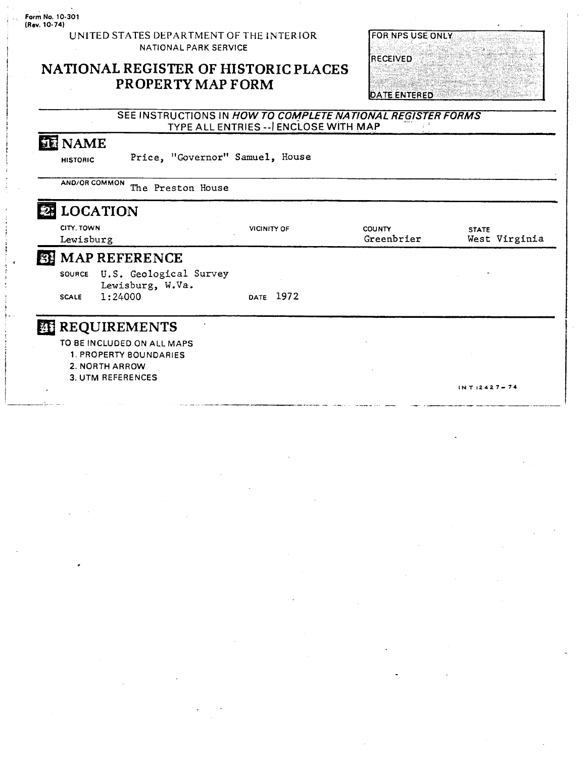**UNITED STATES DEPARTMENT OF THE lNTERlOR NATIONAL PARK SERVICE** 

# **NATIONAL REGISTER OF HISTORIC PLACES PROPERTY MAP FORM**

| <b>FOR NPS USE ONLY</b> |  |
|-------------------------|--|

RECEIVED

DATE ENTERED

### **SEE INSTRUCTIONS IN HOW TO COMPLETE NATIONAL REGISTER FORMS TYPE ALL ENTRIES** --I **ENCLOSE WITH MAP**

# **NAME**

**HISTORIC Price, "Governor" Samuel, House** 

**AND/OR COMMON The Preston House** 

|   | CITY, TOWN    | <b>LOCATION</b>                            | <b>VICINITY OF</b> | <b>COUNTY</b><br>Greenbrier | <b>STATE</b><br>West Virginia |
|---|---------------|--------------------------------------------|--------------------|-----------------------------|-------------------------------|
| 图 | Lewisburg     | <b>MAP REFERENCE</b>                       |                    |                             |                               |
|   |               |                                            |                    |                             |                               |
|   | <b>SOURCE</b> | U.S. Geological Survey<br>Lewisburg, W.Va. |                    |                             |                               |
|   | <b>SCALE</b>  | 1:24000                                    | DATE 1972          |                             |                               |
|   |               | <b>REQUIREMENTS</b>                        |                    |                             |                               |
|   |               | TO BE INCLUDED ON ALL MAPS                 |                    |                             |                               |
|   |               | 1. PROPERTY BOUNDARIES                     |                    |                             |                               |
|   |               | 2. NORTH ARROW                             |                    |                             |                               |
|   |               | <b>3. UTM REFERENCES</b>                   |                    |                             |                               |
|   |               |                                            |                    |                             | $INT:2427 - 74$               |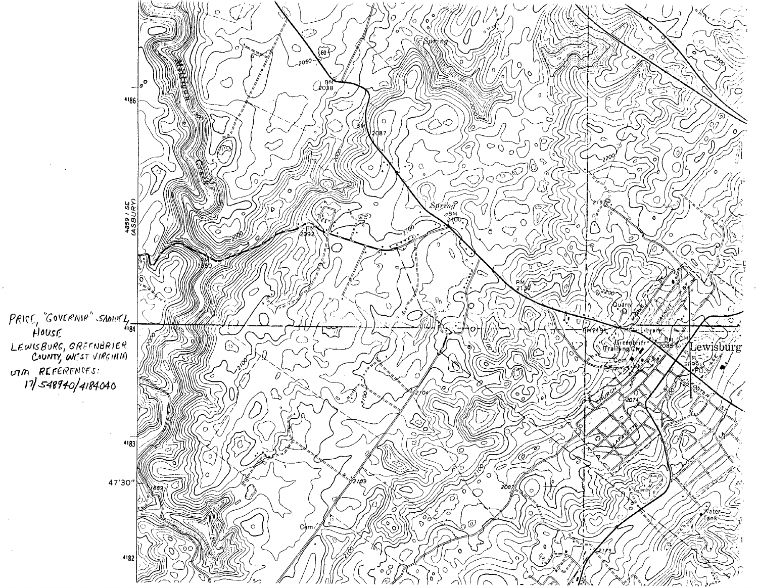